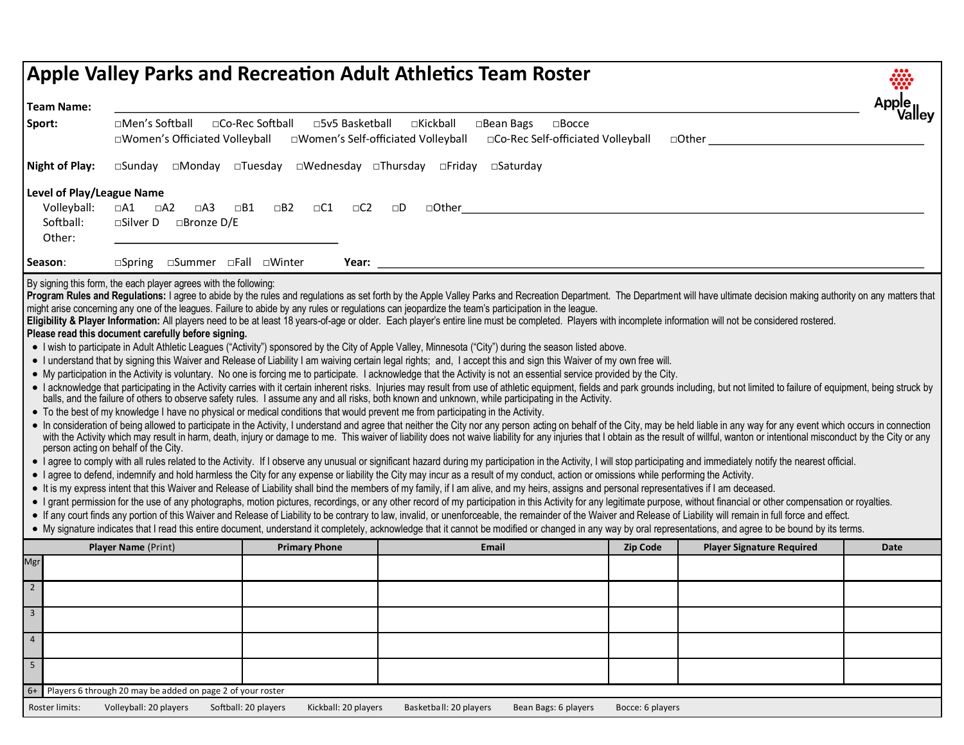|                          | <b>Apple Valley Parks and Recreation Adult Athletics Team Roster</b>                                                                                                                                                                                                                                                                                                                                                                                                                                                                                                                                                                                                                                                                                                                                                                                                                                                                                                                                                                                                                                                                                                                                                                                                                                                                                                                                                                                                                                                                                                                                                                                                                                                                                                                                                                                                                                                                                                                                                                                                                                                                                                                                                                                                                                                                                                                                                                                                                                                                                                                                                                                                                                                                                                                                                                                                                                                                                                                                                                                                                                                                                                                                                                                                                                                                                                                                                                                                               |                                 |                                                                 |  |                        |                      |                      |           |                        |  |       |  |                      |                  |  |                                  |  |             |  |
|--------------------------|------------------------------------------------------------------------------------------------------------------------------------------------------------------------------------------------------------------------------------------------------------------------------------------------------------------------------------------------------------------------------------------------------------------------------------------------------------------------------------------------------------------------------------------------------------------------------------------------------------------------------------------------------------------------------------------------------------------------------------------------------------------------------------------------------------------------------------------------------------------------------------------------------------------------------------------------------------------------------------------------------------------------------------------------------------------------------------------------------------------------------------------------------------------------------------------------------------------------------------------------------------------------------------------------------------------------------------------------------------------------------------------------------------------------------------------------------------------------------------------------------------------------------------------------------------------------------------------------------------------------------------------------------------------------------------------------------------------------------------------------------------------------------------------------------------------------------------------------------------------------------------------------------------------------------------------------------------------------------------------------------------------------------------------------------------------------------------------------------------------------------------------------------------------------------------------------------------------------------------------------------------------------------------------------------------------------------------------------------------------------------------------------------------------------------------------------------------------------------------------------------------------------------------------------------------------------------------------------------------------------------------------------------------------------------------------------------------------------------------------------------------------------------------------------------------------------------------------------------------------------------------------------------------------------------------------------------------------------------------------------------------------------------------------------------------------------------------------------------------------------------------------------------------------------------------------------------------------------------------------------------------------------------------------------------------------------------------------------------------------------------------------------------------------------------------------------------------------------------------|---------------------------------|-----------------------------------------------------------------|--|------------------------|----------------------|----------------------|-----------|------------------------|--|-------|--|----------------------|------------------|--|----------------------------------|--|-------------|--|
|                          | <b>Team Name:</b>                                                                                                                                                                                                                                                                                                                                                                                                                                                                                                                                                                                                                                                                                                                                                                                                                                                                                                                                                                                                                                                                                                                                                                                                                                                                                                                                                                                                                                                                                                                                                                                                                                                                                                                                                                                                                                                                                                                                                                                                                                                                                                                                                                                                                                                                                                                                                                                                                                                                                                                                                                                                                                                                                                                                                                                                                                                                                                                                                                                                                                                                                                                                                                                                                                                                                                                                                                                                                                                                  |                                 |                                                                 |  |                        |                      |                      |           |                        |  |       |  |                      |                  |  |                                  |  |             |  |
| Sport:                   | □Men's Softball<br>□Co-Rec Softball<br>□5v5 Basketball<br>□Kickball<br>□Bean Bags<br>$\square$ Bocce<br>□Co-Rec Self-officiated Volleyball<br>□Women's Officiated Volleyball<br>□Women's Self-officiated Volleyball                                                                                                                                                                                                                                                                                                                                                                                                                                                                                                                                                                                                                                                                                                                                                                                                                                                                                                                                                                                                                                                                                                                                                                                                                                                                                                                                                                                                                                                                                                                                                                                                                                                                                                                                                                                                                                                                                                                                                                                                                                                                                                                                                                                                                                                                                                                                                                                                                                                                                                                                                                                                                                                                                                                                                                                                                                                                                                                                                                                                                                                                                                                                                                                                                                                                |                                 |                                                                 |  |                        |                      |                      |           |                        |  |       |  |                      |                  |  |                                  |  |             |  |
|                          | <b>Night of Play:</b>                                                                                                                                                                                                                                                                                                                                                                                                                                                                                                                                                                                                                                                                                                                                                                                                                                                                                                                                                                                                                                                                                                                                                                                                                                                                                                                                                                                                                                                                                                                                                                                                                                                                                                                                                                                                                                                                                                                                                                                                                                                                                                                                                                                                                                                                                                                                                                                                                                                                                                                                                                                                                                                                                                                                                                                                                                                                                                                                                                                                                                                                                                                                                                                                                                                                                                                                                                                                                                                              |                                 | □Sunday □Monday □Tuesday □Wednesday □Thursday □Friday □Saturday |  |                        |                      |                      |           |                        |  |       |  |                      |                  |  |                                  |  |             |  |
|                          | Level of Play/League Name<br>Volleyball:<br>Softball:<br>Other:                                                                                                                                                                                                                                                                                                                                                                                                                                                                                                                                                                                                                                                                                                                                                                                                                                                                                                                                                                                                                                                                                                                                                                                                                                                                                                                                                                                                                                                                                                                                                                                                                                                                                                                                                                                                                                                                                                                                                                                                                                                                                                                                                                                                                                                                                                                                                                                                                                                                                                                                                                                                                                                                                                                                                                                                                                                                                                                                                                                                                                                                                                                                                                                                                                                                                                                                                                                                                    | $\Box A1$<br>$\square$ Silver D | $\Box A2$<br>$\Box$ A3<br>□Bronze D/E                           |  | $\Box B1$<br>$\Box B2$ | $\Box$ C1            | $\Box$ C2            | $\square$ | $\Box$ Other           |  |       |  |                      |                  |  |                                  |  |             |  |
| Season:                  |                                                                                                                                                                                                                                                                                                                                                                                                                                                                                                                                                                                                                                                                                                                                                                                                                                                                                                                                                                                                                                                                                                                                                                                                                                                                                                                                                                                                                                                                                                                                                                                                                                                                                                                                                                                                                                                                                                                                                                                                                                                                                                                                                                                                                                                                                                                                                                                                                                                                                                                                                                                                                                                                                                                                                                                                                                                                                                                                                                                                                                                                                                                                                                                                                                                                                                                                                                                                                                                                                    | $\square$ Spring                |                                                                 |  | □Summer □Fall □Winter  |                      |                      |           |                        |  |       |  |                      |                  |  |                                  |  |             |  |
|                          | Program Rules and Regulations: I agree to abide by the rules and regulations as set forth by the Apple Valley Parks and Recreation Department. The Department will have ultimate decision making authority on any matters that<br>might arise concerning any one of the leagues. Failure to abide by any rules or regulations can jeopardize the team's participation in the league.<br>Eligibility & Player Information: All players need to be at least 18 years-of-age or older. Each player's entire line must be completed. Players with incomplete information will not be considered rostered.<br>Please read this<br>• I wish to participate in Adult Athletic Leagues ("Activity") sponsored by the City of Apple Valley, Minnesota ("City") during the season listed above.<br>• I understand that by signing this Waiver and Release of Liability I am waiving certain legal rights; and, I accept this and sign this Waiver of my own free will.<br>• My participation in the Activity is voluntary. No one is forcing me to participate. I acknowledge that the Activity is not an essential service provided by the City.<br>• I acknowledge that participating in the Activity carries with it certain inherent risks. Injuries may result from use of athletic equipment, fields and park grounds including, but not limited to failure of equipment, bei<br>balls, and the failure of others to observe safety rules. I assume any and all risks, both known and unknown, while participating in the Activity.<br>• To the best of my knowledge I have no physical or medical conditions that would prevent me from participating in the Activity.<br>• In consideration of being allowed to participate in the Activity, I understand and agree that neither the City nor any person acting on behalf of the City, may be held liable in any way for any event which occurs in conn<br>with the Activity which may result in harm, death, injury or damage to me. This waiver of liability does not waive liability for any injuries that I obtain as the result of willful, wanton or intentional misconduct by the<br>person acting on behalf of the City.<br>• I agree to comply with all rules related to the Activity. If I observe any unusual or significant hazard during my participation in the Activity, I will stop participating and immediately notify the nearest official.<br>• I agree to defend, indemnify and hold harmless the City for any expense or liability the City may incur as a result of my conduct, action or omissions while performing the Activity.<br>• It is my express intent that this Waiver and Release of Liability shall bind the members of my family, if I am alive, and my heirs, assigns and personal representatives if I am deceased.<br>• I grant permission for the use of any photographs, motion pictures, recordings, or any other record of my participation in this Activity for any legitimate purpose, without financial or other compensation or royalties.<br>• If any court finds any portion of this Waiver and Release of Liability to be contrary to law, invalid, or unenforceable, the remainder of the Waiver and Release of Liability will remain in full force and effect.<br>• My signature indicates that I read this entire document, understand it completely, acknowledge that it cannot be modified or changed in any way by oral representations, and agree to be bound by its terms. |                                 |                                                                 |  |                        |                      |                      |           |                        |  |       |  |                      |                  |  |                                  |  |             |  |
|                          |                                                                                                                                                                                                                                                                                                                                                                                                                                                                                                                                                                                                                                                                                                                                                                                                                                                                                                                                                                                                                                                                                                                                                                                                                                                                                                                                                                                                                                                                                                                                                                                                                                                                                                                                                                                                                                                                                                                                                                                                                                                                                                                                                                                                                                                                                                                                                                                                                                                                                                                                                                                                                                                                                                                                                                                                                                                                                                                                                                                                                                                                                                                                                                                                                                                                                                                                                                                                                                                                                    | Player Name (Print)             |                                                                 |  |                        | <b>Primary Phone</b> |                      |           |                        |  | Email |  |                      | <b>Zip Code</b>  |  | <b>Player Signature Required</b> |  | <b>Date</b> |  |
| Mgr                      |                                                                                                                                                                                                                                                                                                                                                                                                                                                                                                                                                                                                                                                                                                                                                                                                                                                                                                                                                                                                                                                                                                                                                                                                                                                                                                                                                                                                                                                                                                                                                                                                                                                                                                                                                                                                                                                                                                                                                                                                                                                                                                                                                                                                                                                                                                                                                                                                                                                                                                                                                                                                                                                                                                                                                                                                                                                                                                                                                                                                                                                                                                                                                                                                                                                                                                                                                                                                                                                                                    |                                 |                                                                 |  |                        |                      |                      |           |                        |  |       |  |                      |                  |  |                                  |  |             |  |
| $\overline{2}$           |                                                                                                                                                                                                                                                                                                                                                                                                                                                                                                                                                                                                                                                                                                                                                                                                                                                                                                                                                                                                                                                                                                                                                                                                                                                                                                                                                                                                                                                                                                                                                                                                                                                                                                                                                                                                                                                                                                                                                                                                                                                                                                                                                                                                                                                                                                                                                                                                                                                                                                                                                                                                                                                                                                                                                                                                                                                                                                                                                                                                                                                                                                                                                                                                                                                                                                                                                                                                                                                                                    |                                 |                                                                 |  |                        |                      |                      |           |                        |  |       |  |                      |                  |  |                                  |  |             |  |
| $\overline{\mathbf{3}}$  |                                                                                                                                                                                                                                                                                                                                                                                                                                                                                                                                                                                                                                                                                                                                                                                                                                                                                                                                                                                                                                                                                                                                                                                                                                                                                                                                                                                                                                                                                                                                                                                                                                                                                                                                                                                                                                                                                                                                                                                                                                                                                                                                                                                                                                                                                                                                                                                                                                                                                                                                                                                                                                                                                                                                                                                                                                                                                                                                                                                                                                                                                                                                                                                                                                                                                                                                                                                                                                                                                    |                                 |                                                                 |  |                        |                      |                      |           |                        |  |       |  |                      |                  |  |                                  |  |             |  |
| $\overline{4}$           |                                                                                                                                                                                                                                                                                                                                                                                                                                                                                                                                                                                                                                                                                                                                                                                                                                                                                                                                                                                                                                                                                                                                                                                                                                                                                                                                                                                                                                                                                                                                                                                                                                                                                                                                                                                                                                                                                                                                                                                                                                                                                                                                                                                                                                                                                                                                                                                                                                                                                                                                                                                                                                                                                                                                                                                                                                                                                                                                                                                                                                                                                                                                                                                                                                                                                                                                                                                                                                                                                    |                                 |                                                                 |  |                        |                      |                      |           |                        |  |       |  |                      |                  |  |                                  |  |             |  |
| $\overline{\phantom{a}}$ |                                                                                                                                                                                                                                                                                                                                                                                                                                                                                                                                                                                                                                                                                                                                                                                                                                                                                                                                                                                                                                                                                                                                                                                                                                                                                                                                                                                                                                                                                                                                                                                                                                                                                                                                                                                                                                                                                                                                                                                                                                                                                                                                                                                                                                                                                                                                                                                                                                                                                                                                                                                                                                                                                                                                                                                                                                                                                                                                                                                                                                                                                                                                                                                                                                                                                                                                                                                                                                                                                    |                                 |                                                                 |  |                        |                      |                      |           |                        |  |       |  |                      |                  |  |                                  |  |             |  |
| $6+$                     | Players 6 through 20 may be added on page 2 of your roster                                                                                                                                                                                                                                                                                                                                                                                                                                                                                                                                                                                                                                                                                                                                                                                                                                                                                                                                                                                                                                                                                                                                                                                                                                                                                                                                                                                                                                                                                                                                                                                                                                                                                                                                                                                                                                                                                                                                                                                                                                                                                                                                                                                                                                                                                                                                                                                                                                                                                                                                                                                                                                                                                                                                                                                                                                                                                                                                                                                                                                                                                                                                                                                                                                                                                                                                                                                                                         |                                 |                                                                 |  |                        |                      |                      |           |                        |  |       |  |                      |                  |  |                                  |  |             |  |
|                          | Roster limits:                                                                                                                                                                                                                                                                                                                                                                                                                                                                                                                                                                                                                                                                                                                                                                                                                                                                                                                                                                                                                                                                                                                                                                                                                                                                                                                                                                                                                                                                                                                                                                                                                                                                                                                                                                                                                                                                                                                                                                                                                                                                                                                                                                                                                                                                                                                                                                                                                                                                                                                                                                                                                                                                                                                                                                                                                                                                                                                                                                                                                                                                                                                                                                                                                                                                                                                                                                                                                                                                     | Volleyball: 20 players          |                                                                 |  | Softball: 20 players   |                      | Kickball: 20 players |           | Basketball: 20 players |  |       |  | Bean Bags: 6 players | Bocce: 6 players |  |                                  |  |             |  |